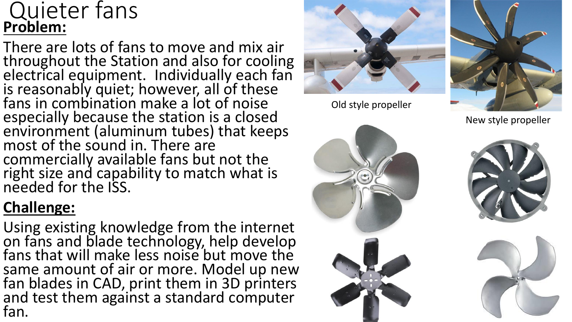#### Quieter fans **Problem:**

There are lots of fans to move and mix air throughout the Station and also for cooling electrical equipment. Individually each fan is reasonably quiet; however, all of these fans in combination make a lot of noise especially because the station is a closed environment (aluminum tubes) that keeps most of the sound in. There are commercially available fans but not the right size and capability to match what is needed for the ISS.

#### **Challenge:**

Using existing knowledge from the internet on fans and blade technology, help develop fans that will make less noise but move the same amount of air or more. Model up new fan blades in CAD, print them in 3D printers and test them against a standard computer fan.



Old style propeller



New style propeller





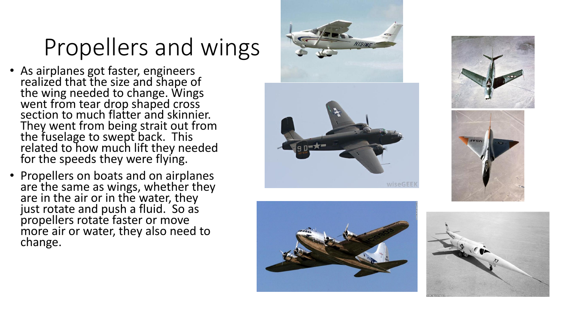## Propellers and wings

- As airplanes got faster, engineers realized that the size and shape of the wing needed to change. Wings went from tear drop shaped cross section to much flatter and skinnier. They went from being strait out from the fuselage to swept back. This related to how much lift they needed for the speeds they were flying.
- Propellers on boats and on airplanes are the same as wings, whether they are in the air or in the water, they just rotate and push a fluid. So as propellers rotate faster or move more air or water, they also need to change.









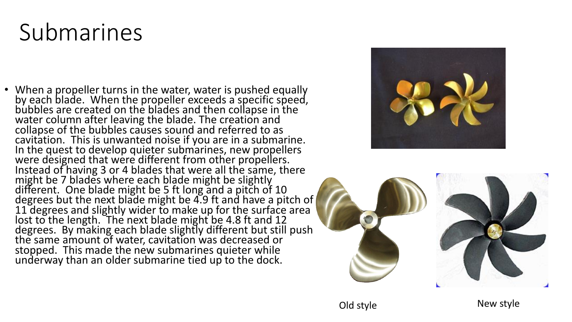# Submarines

• When a propeller turns in the water, water is pushed equally by each blade. When the propeller exceeds a specific speed, bubbles are created on the blades and then collapse in the water column after leaving the blade. The creation and collapse of the bubbles causes sound and referred to as cavitation. This is unwanted noise if you are in a submarine. In the quest to develop quieter submarines, new propellers were designed that were different from other propellers. Instead of having 3 or 4 blades that were all the same, there might be 7 blades where each blade might be slightly different. One blade might be 5 ft long and a pitch of 10 degrees but the next blade might be 4.9 ft and have a pitch of 11 degrees and slightly wider to make up for the surface area lost to the length. The next blade might be 4.8 ft and 12 degrees. By making each blade slightly different but still push the same amount of water, cavitation was decreased or stopped. This made the new submarines quieter while underway than an older submarine tied up to the dock.



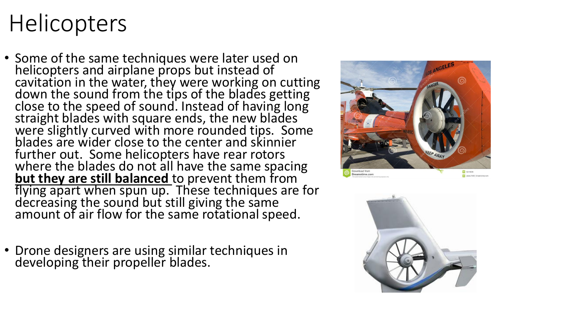# **Helicopters**

- Some of the same techniques were later used on helicopters and airplane props but instead of cavitation in the water, they were working on cutting down the sound from the tips of the blades getting close to the speed of sound. Instead of having long straight blades with square ends, the new blades were slightly curved with more rounded tips. Some blades are wider close to the center and skinnier further out. Some helicopters have rear rotors where the blades do not all have the same spacing **but they are still balanced** to prevent them from flying apart when spun up. These techniques are for decreasing the sound but still giving the same amount of air flow for the same rotational speed.
- Drone designers are using similar techniques in developing their propeller blades.



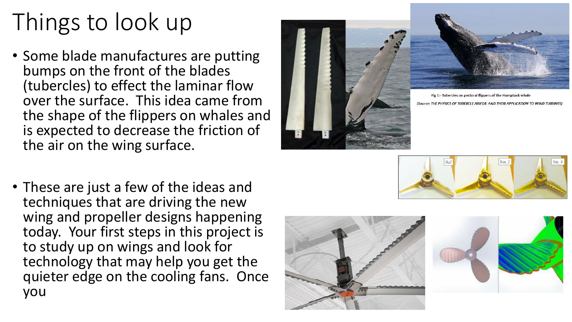# Things to look up

- Some blade manufactures are putting bumps on the front of the blades (tubercles) to effect the laminar flow over the surface. This idea came from the shape of the flippers on whales and is expected to decrease the friction of the air on the wing surface.
- These are just a few of the ideas and techniques that are driving the new wing and propeller designs happening today. Your first steps in this project is to study up on wings and look for technology that may help you get the quieter edge on the cooling fans. Once you





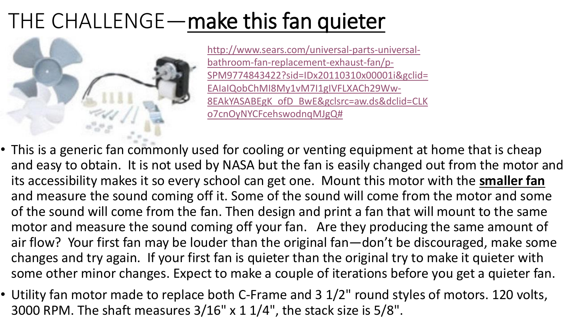### THE CHALLENGE—make this fan quieter



http://www.sears.com/universal-parts-universalbathroom-fan-replacement-exhaust-fan/p-[SPM9774843422?sid=IDx20110310x00001i&gclid=](http://www.sears.com/universal-parts-universal-bathroom-fan-replacement-exhaust-fan/p-SPM9774843422?sid=IDx20110310x00001i&gclid=EAIaIQobChMI8My1vM7I1gIVFLXACh29Ww-8EAkYASABEgK_ofD_BwE&gclsrc=aw.ds&dclid=CLKo7cnOyNYCFcehswodnqMJgQ) EAIaIQobChMI8My1vM7I1gIVFLXACh29Ww-8EAkYASABEgK\_ofD\_BwE&gclsrc=aw.ds&dclid=CLK o7cnOyNYCFcehswodnqMJgQ#

- This is a generic fan commonly used for cooling or venting equipment at home that is cheap and easy to obtain. It is not used by NASA but the fan is easily changed out from the motor and its accessibility makes it so every school can get one. Mount this motor with the **smaller fan**  and measure the sound coming off it. Some of the sound will come from the motor and some of the sound will come from the fan. Then design and print a fan that will mount to the same motor and measure the sound coming off your fan. Are they producing the same amount of air flow? Your first fan may be louder than the original fan—don't be discouraged, make some changes and try again. If your first fan is quieter than the original try to make it quieter with some other minor changes. Expect to make a couple of iterations before you get a quieter fan.
- Utility fan motor made to replace both C-Frame and 3 1/2" round styles of motors. 120 volts, 3000 RPM. The shaft measures 3/16" x 1 1/4", the stack size is 5/8".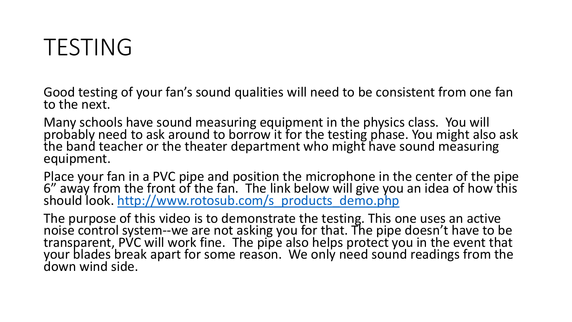### TESTING

Good testing of your fan's sound qualities will need to be consistent from one fan to the next.

Many schools have sound measuring equipment in the physics class. You will probably need to ask around to borrow it for the testing phase. You might also ask the band teacher or the theater department who might have sound measuring equipment.

Place your fan in a PVC pipe and position the microphone in the center of the pipe 6" away from the front of the fan. The link below will give you an idea of how this should look. [http://www.rotosub.com/s\\_products\\_demo.php](http://www.rotosub.com/s_products_demo.php)

The purpose of this video is to demonstrate the testing. This one uses an active noise control system--we are not asking you for that. The pipe doesn't have to be transparent, PVC will work fine. The pipe also helps protect you in the event that your blades break apart for some reason. We only need sound readings from the down wind side.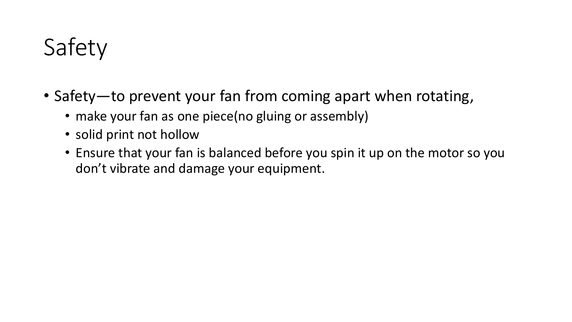# Safety

- Safety—to prevent your fan from coming apart when rotating,
	- make your fan as one piece(no gluing or assembly)
	- solid print not hollow
	- Ensure that your fan is balanced before you spin it up on the motor so you don't vibrate and damage your equipment.